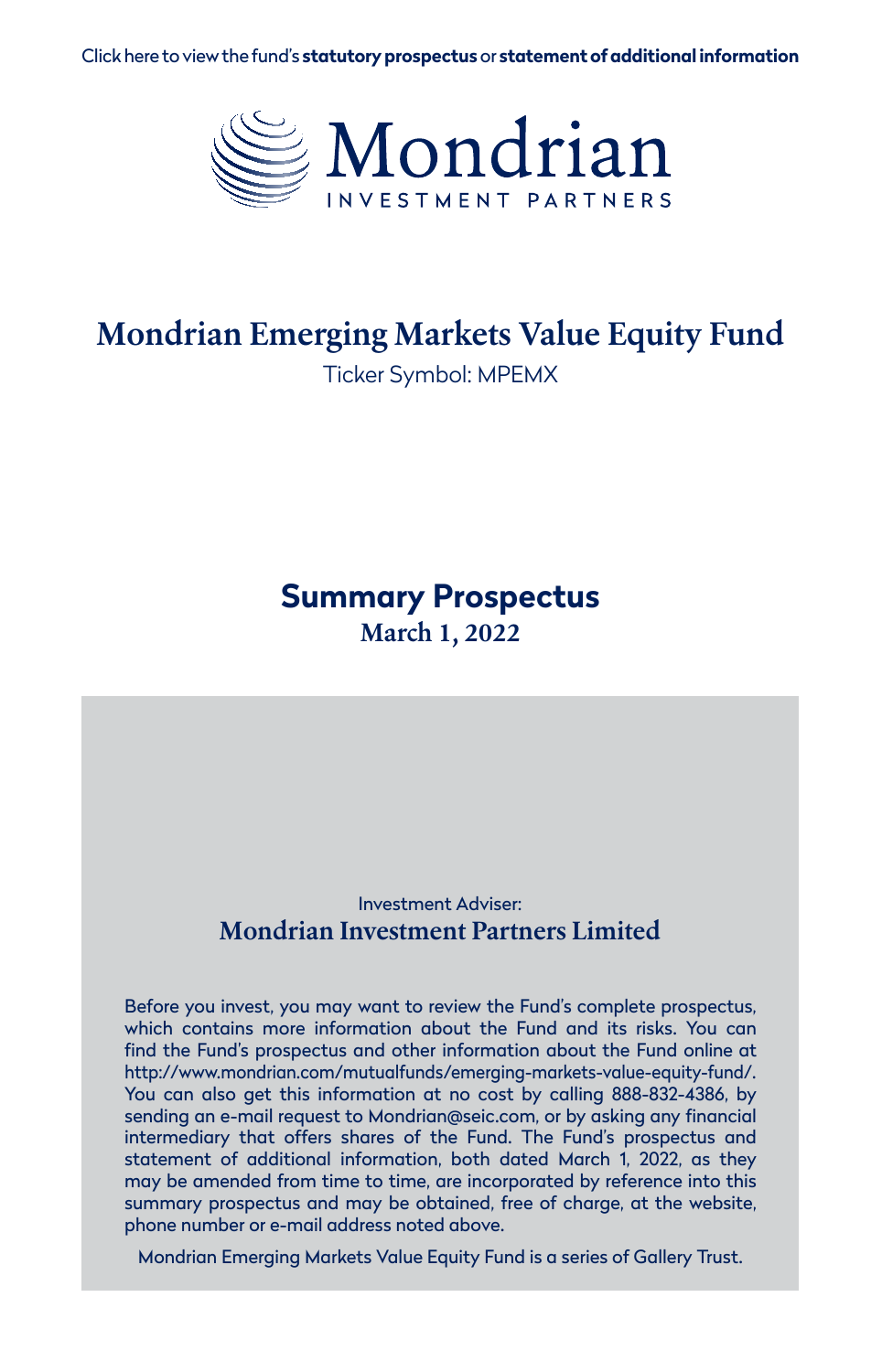Click here to view the fund's **[statutory prospectus](https://www.mondrian.com/wp-content/uploads/2022/03/Mondrian-Prospectus.pdf)** or **[statement of additional information](https://www.mondrian.com/wp-content/uploads/2022/03/Mondrian-SAI.pdf)**



# **Mondrian Emerging Markets Value Equity Fund**

Ticker Symbol: MPEMX

## **Summary Prospectus March 1, 2022**

#### Investment Adviser: **Mondrian Investment Partners Limited**

Before you invest, you may want to review the Fund's complete prospectus, which contains more information about the Fund and its risks. You can find the Fund's prospectus and other information about the Fund online at http://www.mondrian.com/mutualfunds/emerging-markets-value-equity-fund/. You can also get this information at no cost by calling 888-832-4386, by sending an e-mail request to Mondrian@seic.com, or by asking any financial intermediary that offers shares of the Fund. The Fund's prospectus and statement of additional information, both dated March 1, 2022, as they may be amended from time to time, are incorporated by reference into this summary prospectus and may be obtained, free of charge, at the website, phone number or e-mail address noted above.

Mondrian Emerging Markets Value Equity Fund is a series of Gallery Trust.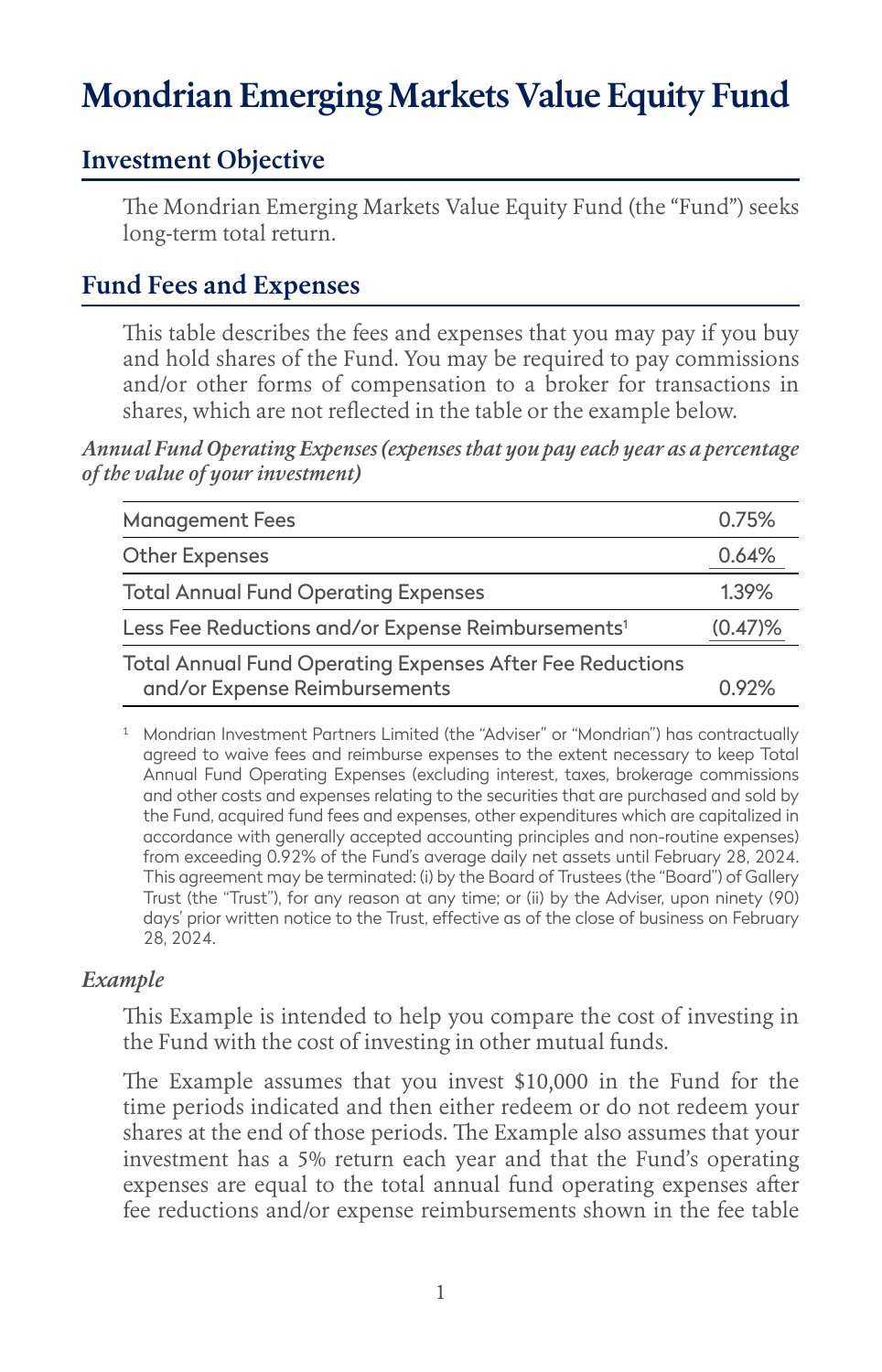# **Mondrian Emerging Markets Value Equity Fund**

## **Investment Objective**

The Mondrian Emerging Markets Value Equity Fund (the "Fund") seeks long-term total return.

## **Fund Fees and Expenses**

This table describes the fees and expenses that you may pay if you buy and hold shares of the Fund. You may be required to pay commissions and/or other forms of compensation to a broker for transactions in shares, which are not reflected in the table or the example below.

*Annual Fund Operating Expenses (expenses that you pay each year as a percentage of the value of your investment)*

| <b>Management Fees</b>                                                                     | 0.75%      |
|--------------------------------------------------------------------------------------------|------------|
| <b>Other Expenses</b>                                                                      | 0.64%      |
| <b>Total Annual Fund Operating Expenses</b>                                                | 1.39%      |
| Less Fee Reductions and/or Expense Reimbursements <sup>1</sup>                             | $(0.47)\%$ |
| Total Annual Fund Operating Expenses After Fee Reductions<br>and/or Expense Reimbursements | በ 92%      |

<sup>1</sup> Mondrian Investment Partners Limited (the "Adviser" or "Mondrian") has contractually agreed to waive fees and reimburse expenses to the extent necessary to keep Total Annual Fund Operating Expenses (excluding interest, taxes, brokerage commissions and other costs and expenses relating to the securities that are purchased and sold by the Fund, acquired fund fees and expenses, other expenditures which are capitalized in accordance with generally accepted accounting principles and non-routine expenses) from exceeding 0.92% of the Fund's average daily net assets until February 28, 2024. This agreement may be terminated: (i) by the Board of Trustees (the "Board") of Gallery Trust (the "Trust"), for any reason at any time; or (ii) by the Adviser, upon ninety (90) days' prior written notice to the Trust, effective as of the close of business on February 28, 2024.

#### *Example*

This Example is intended to help you compare the cost of investing in the Fund with the cost of investing in other mutual funds.

The Example assumes that you invest \$10,000 in the Fund for the time periods indicated and then either redeem or do not redeem your shares at the end of those periods. The Example also assumes that your investment has a 5% return each year and that the Fund's operating expenses are equal to the total annual fund operating expenses after fee reductions and/or expense reimbursements shown in the fee table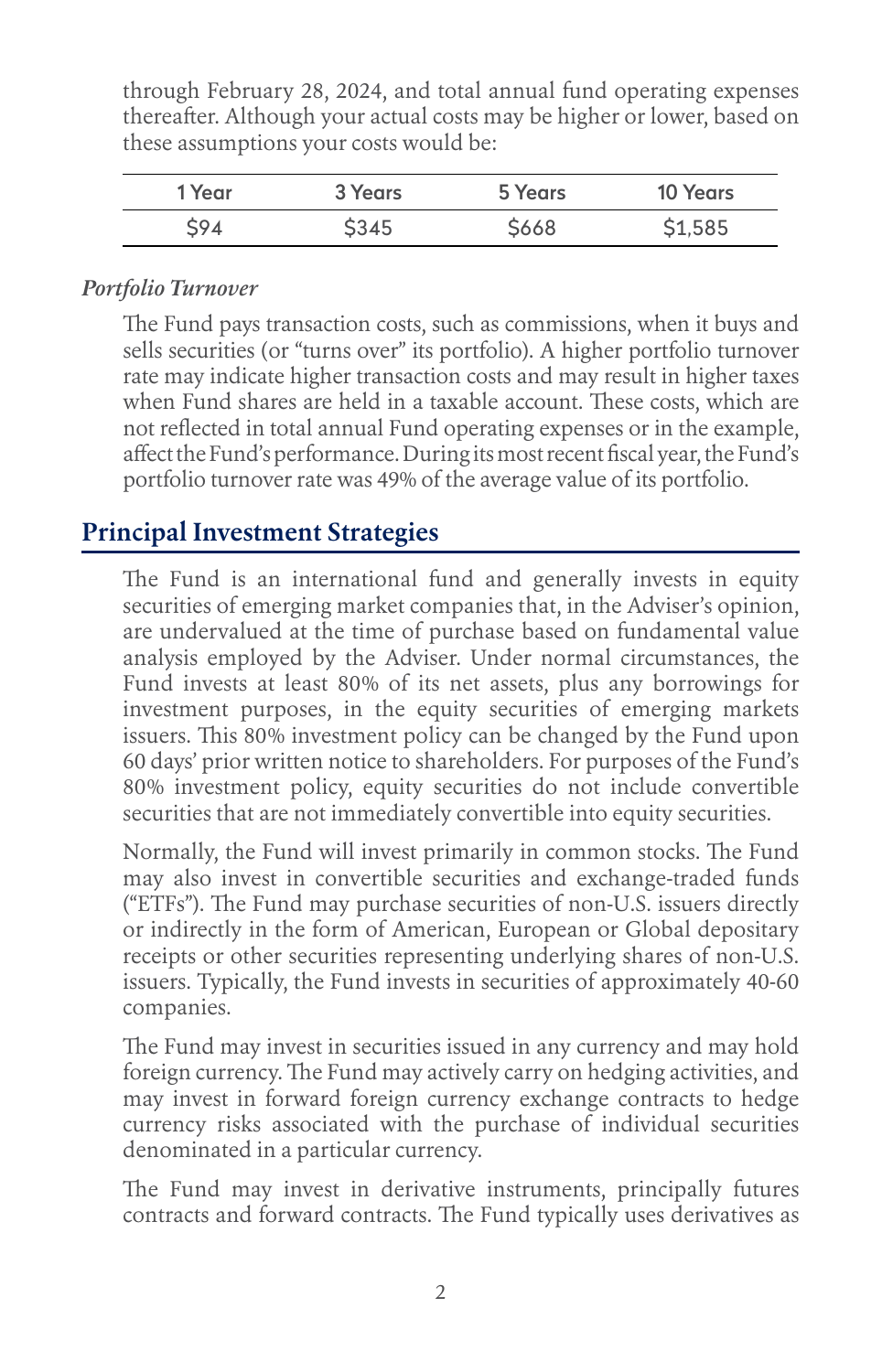through February 28, 2024, and total annual fund operating expenses thereafter. Although your actual costs may be higher or lower, based on these assumptions your costs would be:

| 1 Year | 3 Years | 5 Years | <b>10 Years</b> |
|--------|---------|---------|-----------------|
| 594    | \$345   | \$668   | \$1,585         |

#### *Portfolio Turnover*

The Fund pays transaction costs, such as commissions, when it buys and sells securities (or "turns over" its portfolio). A higher portfolio turnover rate may indicate higher transaction costs and may result in higher taxes when Fund shares are held in a taxable account. These costs, which are not reflected in total annual Fund operating expenses or in the example, affect the Fund's performance. During its most recent fiscal year, the Fund's portfolio turnover rate was 49% of the average value of its portfolio.

## **Principal Investment Strategies**

The Fund is an international fund and generally invests in equity securities of emerging market companies that, in the Adviser's opinion, are undervalued at the time of purchase based on fundamental value analysis employed by the Adviser. Under normal circumstances, the Fund invests at least 80% of its net assets, plus any borrowings for investment purposes, in the equity securities of emerging markets issuers. This 80% investment policy can be changed by the Fund upon 60 days' prior written notice to shareholders. For purposes of the Fund's 80% investment policy, equity securities do not include convertible securities that are not immediately convertible into equity securities.

Normally, the Fund will invest primarily in common stocks. The Fund may also invest in convertible securities and exchange-traded funds ("ETFs"). The Fund may purchase securities of non-U.S. issuers directly or indirectly in the form of American, European or Global depositary receipts or other securities representing underlying shares of non-U.S. issuers. Typically, the Fund invests in securities of approximately 40-60 companies.

The Fund may invest in securities issued in any currency and may hold foreign currency. The Fund may actively carry on hedging activities, and may invest in forward foreign currency exchange contracts to hedge currency risks associated with the purchase of individual securities denominated in a particular currency.

The Fund may invest in derivative instruments, principally futures contracts and forward contracts. The Fund typically uses derivatives as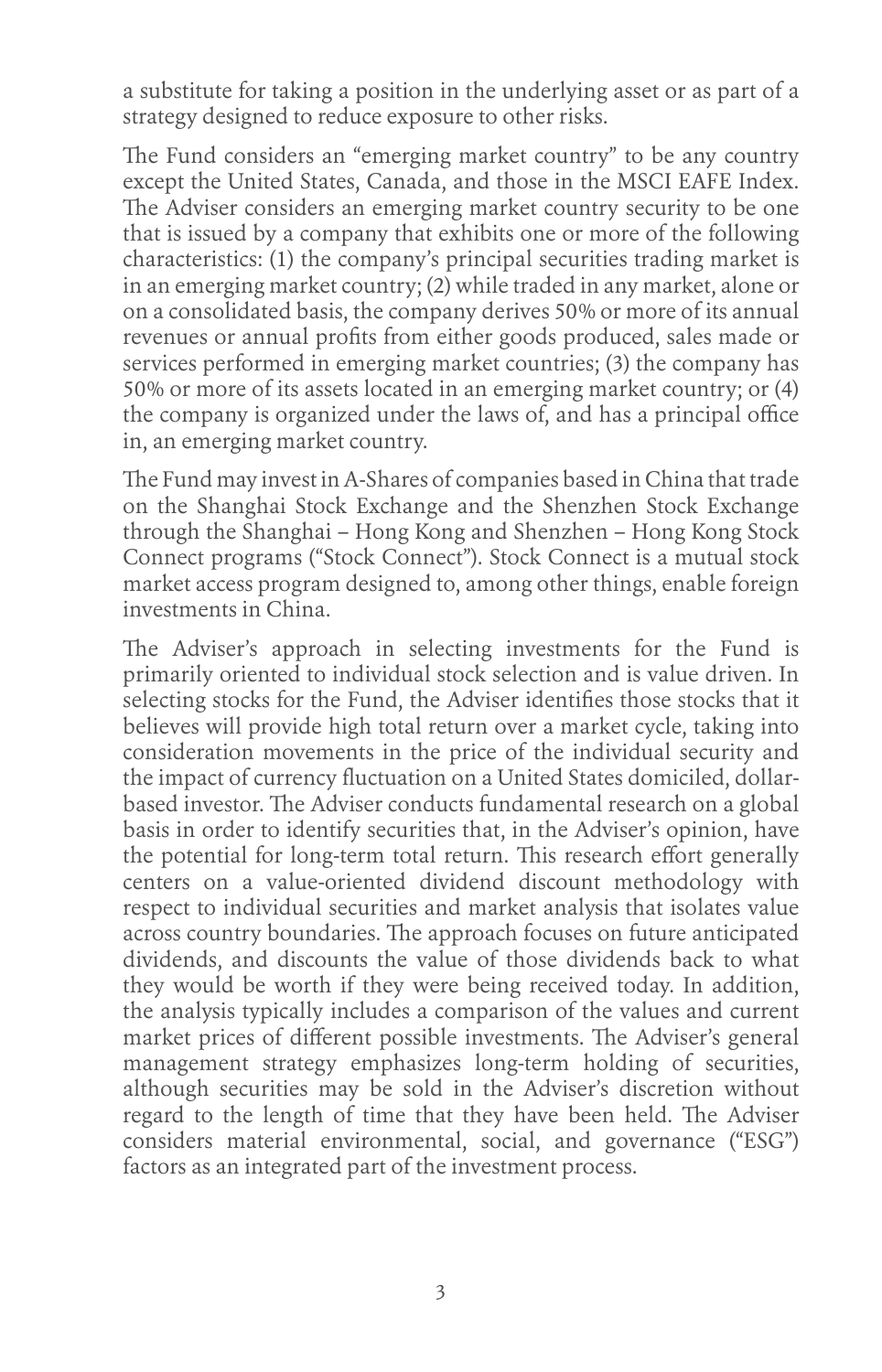a substitute for taking a position in the underlying asset or as part of a strategy designed to reduce exposure to other risks.

The Fund considers an "emerging market country" to be any country except the United States, Canada, and those in the MSCI EAFE Index. The Adviser considers an emerging market country security to be one that is issued by a company that exhibits one or more of the following characteristics: (1) the company's principal securities trading market is in an emerging market country; (2) while traded in any market, alone or on a consolidated basis, the company derives 50% or more of its annual revenues or annual profits from either goods produced, sales made or services performed in emerging market countries; (3) the company has 50% or more of its assets located in an emerging market country; or (4) the company is organized under the laws of, and has a principal office in, an emerging market country.

The Fund may invest in A-Shares of companies based in China that trade on the Shanghai Stock Exchange and the Shenzhen Stock Exchange through the Shanghai – Hong Kong and Shenzhen – Hong Kong Stock Connect programs ("Stock Connect"). Stock Connect is a mutual stock market access program designed to, among other things, enable foreign investments in China.

The Adviser's approach in selecting investments for the Fund is primarily oriented to individual stock selection and is value driven. In selecting stocks for the Fund, the Adviser identifies those stocks that it believes will provide high total return over a market cycle, taking into consideration movements in the price of the individual security and the impact of currency fluctuation on a United States domiciled, dollarbased investor. The Adviser conducts fundamental research on a global basis in order to identify securities that, in the Adviser's opinion, have the potential for long-term total return. This research effort generally centers on a value-oriented dividend discount methodology with respect to individual securities and market analysis that isolates value across country boundaries. The approach focuses on future anticipated dividends, and discounts the value of those dividends back to what they would be worth if they were being received today. In addition, the analysis typically includes a comparison of the values and current market prices of different possible investments. The Adviser's general management strategy emphasizes long-term holding of securities, although securities may be sold in the Adviser's discretion without regard to the length of time that they have been held. The Adviser considers material environmental, social, and governance ("ESG") factors as an integrated part of the investment process.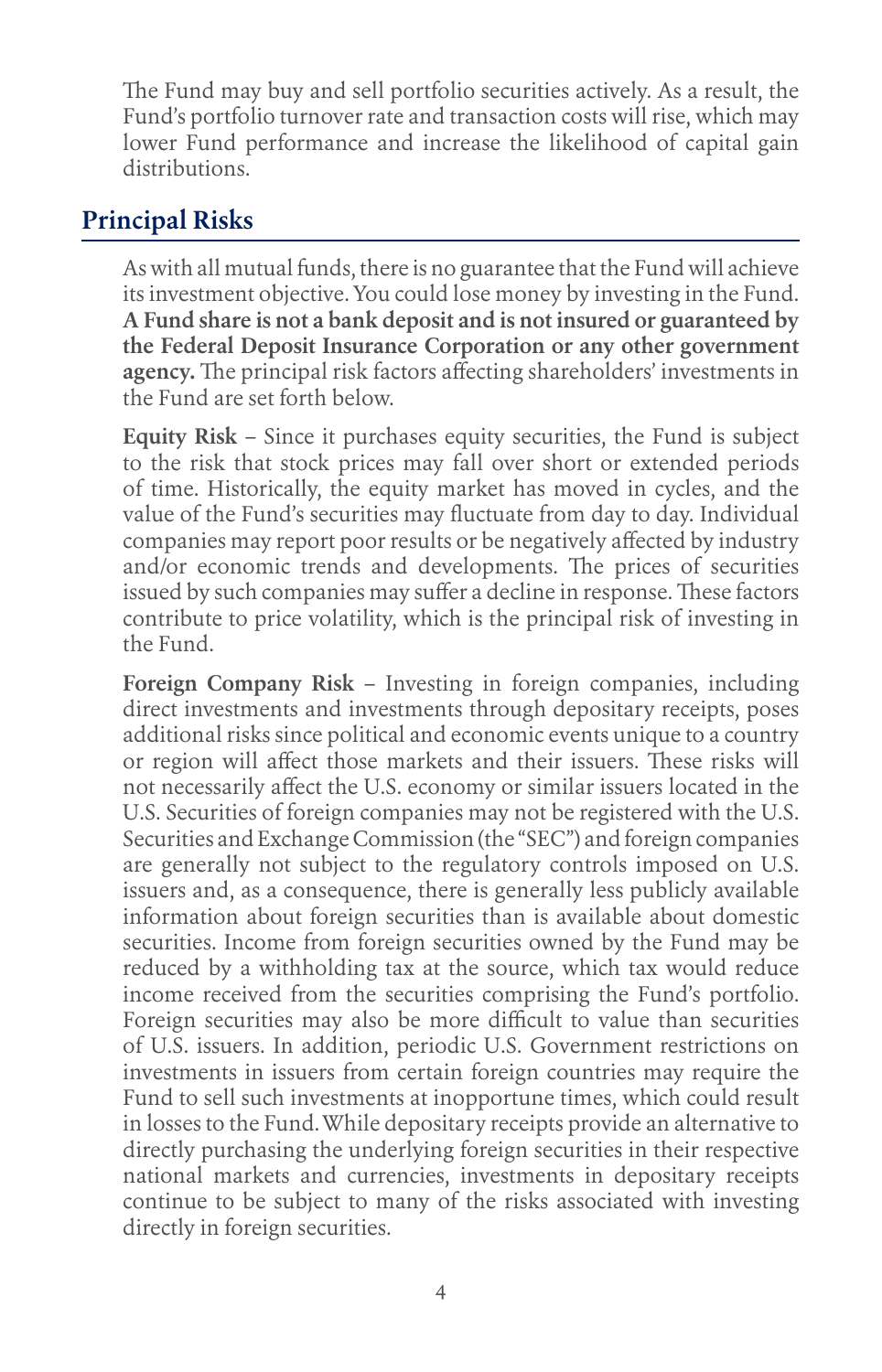The Fund may buy and sell portfolio securities actively. As a result, the Fund's portfolio turnover rate and transaction costs will rise, which may lower Fund performance and increase the likelihood of capital gain distributions.

## **Principal Risks**

As with all mutual funds, there is no guarantee that the Fund will achieve its investment objective. You could lose money by investing in the Fund. **A Fund share is not a bank deposit and is not insured or guaranteed by the Federal Deposit Insurance Corporation or any other government agency.** The principal risk factors affecting shareholders' investments in the Fund are set forth below.

**Equity Risk** – Since it purchases equity securities, the Fund is subject to the risk that stock prices may fall over short or extended periods of time. Historically, the equity market has moved in cycles, and the value of the Fund's securities may fluctuate from day to day. Individual companies may report poor results or be negatively affected by industry and/or economic trends and developments. The prices of securities issued by such companies may suffer a decline in response. These factors contribute to price volatility, which is the principal risk of investing in the Fund.

**Foreign Company Risk** – Investing in foreign companies, including direct investments and investments through depositary receipts, poses additional risks since political and economic events unique to a country or region will affect those markets and their issuers. These risks will not necessarily affect the U.S. economy or similar issuers located in the U.S. Securities of foreign companies may not be registered with the U.S. Securities and Exchange Commission (the "SEC") and foreign companies are generally not subject to the regulatory controls imposed on U.S. issuers and, as a consequence, there is generally less publicly available information about foreign securities than is available about domestic securities. Income from foreign securities owned by the Fund may be reduced by a withholding tax at the source, which tax would reduce income received from the securities comprising the Fund's portfolio. Foreign securities may also be more difficult to value than securities of U.S. issuers. In addition, periodic U.S. Government restrictions on investments in issuers from certain foreign countries may require the Fund to sell such investments at inopportune times, which could result in losses to the Fund. While depositary receipts provide an alternative to directly purchasing the underlying foreign securities in their respective national markets and currencies, investments in depositary receipts continue to be subject to many of the risks associated with investing directly in foreign securities.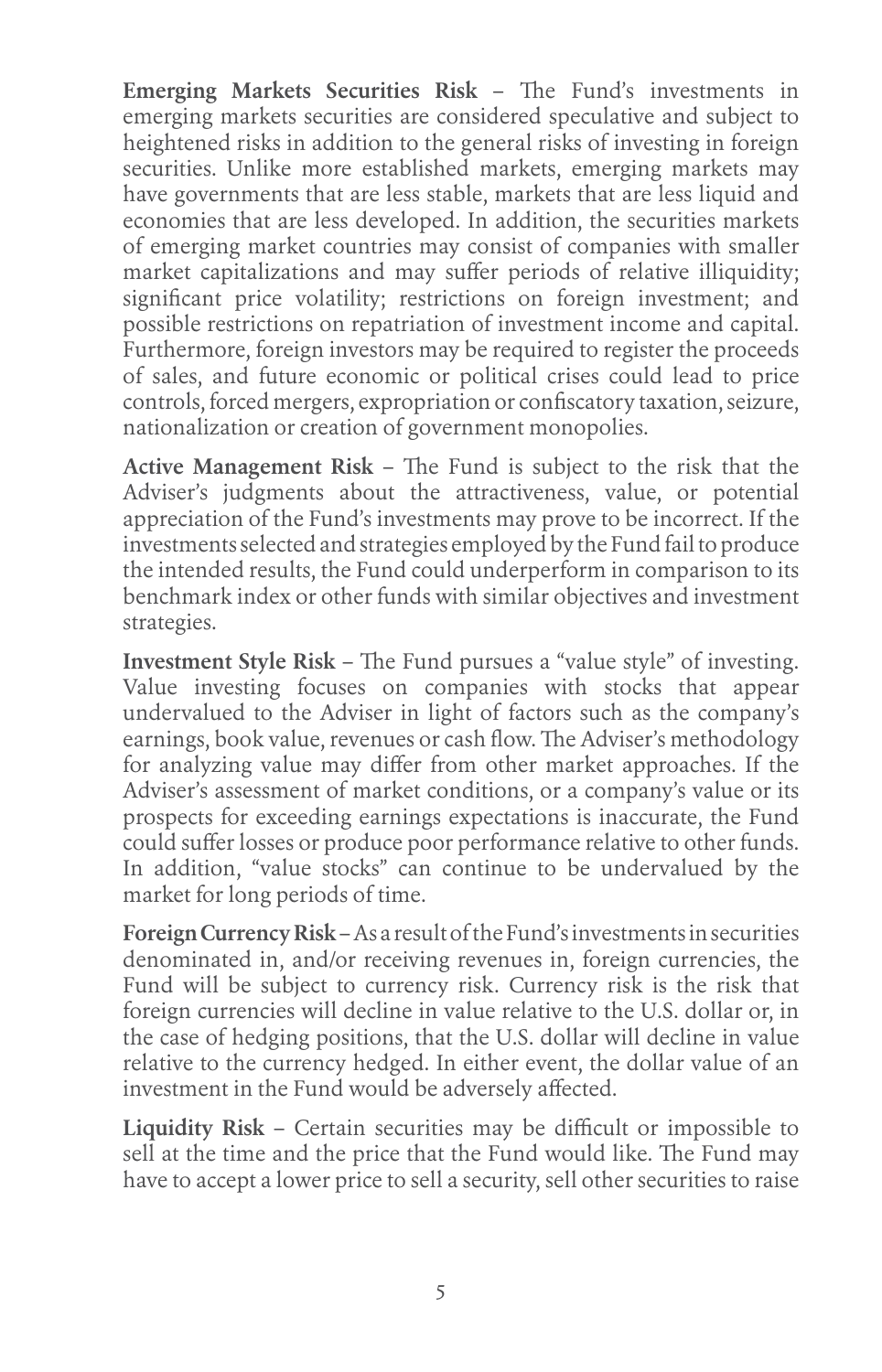**Emerging Markets Securities Risk** – The Fund's investments in emerging markets securities are considered speculative and subject to heightened risks in addition to the general risks of investing in foreign securities. Unlike more established markets, emerging markets may have governments that are less stable, markets that are less liquid and economies that are less developed. In addition, the securities markets of emerging market countries may consist of companies with smaller market capitalizations and may suffer periods of relative illiquidity; significant price volatility; restrictions on foreign investment; and possible restrictions on repatriation of investment income and capital. Furthermore, foreign investors may be required to register the proceeds of sales, and future economic or political crises could lead to price controls, forced mergers, expropriation or confiscatory taxation, seizure, nationalization or creation of government monopolies.

**Active Management Risk** – The Fund is subject to the risk that the Adviser's judgments about the attractiveness, value, or potential appreciation of the Fund's investments may prove to be incorrect. If the investments selected and strategies employed by the Fund fail to produce the intended results, the Fund could underperform in comparison to its benchmark index or other funds with similar objectives and investment strategies.

**Investment Style Risk** – The Fund pursues a "value style" of investing. Value investing focuses on companies with stocks that appear undervalued to the Adviser in light of factors such as the company's earnings, book value, revenues or cash flow. The Adviser's methodology for analyzing value may differ from other market approaches. If the Adviser's assessment of market conditions, or a company's value or its prospects for exceeding earnings expectations is inaccurate, the Fund could suffer losses or produce poor performance relative to other funds. In addition, "value stocks" can continue to be undervalued by the market for long periods of time.

**Foreign Currency Risk** – As a result of the Fund's investments in securities denominated in, and/or receiving revenues in, foreign currencies, the Fund will be subject to currency risk. Currency risk is the risk that foreign currencies will decline in value relative to the U.S. dollar or, in the case of hedging positions, that the U.S. dollar will decline in value relative to the currency hedged. In either event, the dollar value of an investment in the Fund would be adversely affected.

**Liquidity Risk** – Certain securities may be difficult or impossible to sell at the time and the price that the Fund would like. The Fund may have to accept a lower price to sell a security, sell other securities to raise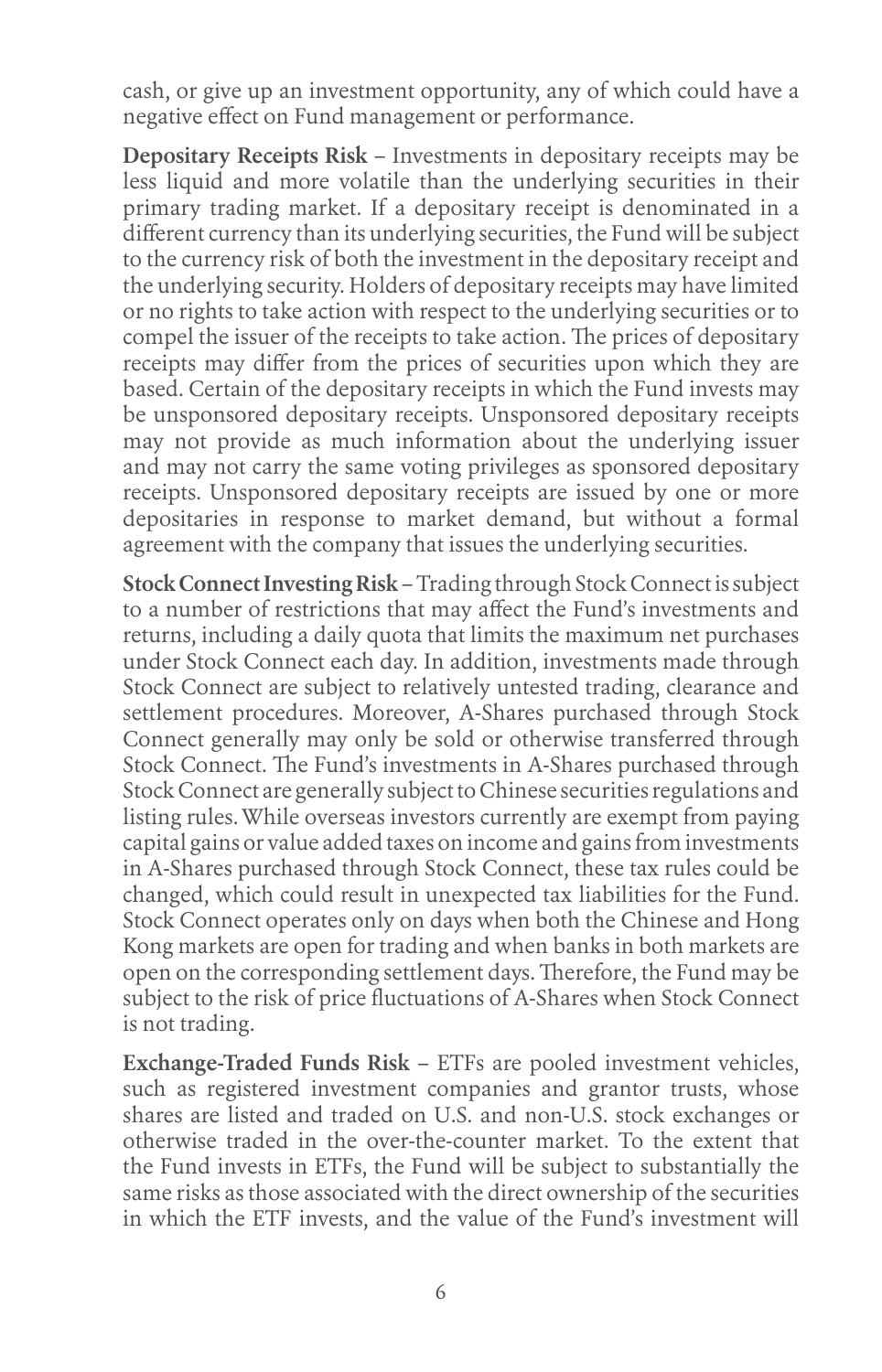cash, or give up an investment opportunity, any of which could have a negative effect on Fund management or performance.

**Depositary Receipts Risk** – Investments in depositary receipts may be less liquid and more volatile than the underlying securities in their primary trading market. If a depositary receipt is denominated in a different currency than its underlying securities, the Fund will be subject to the currency risk of both the investment in the depositary receipt and the underlying security. Holders of depositary receipts may have limited or no rights to take action with respect to the underlying securities or to compel the issuer of the receipts to take action. The prices of depositary receipts may differ from the prices of securities upon which they are based. Certain of the depositary receipts in which the Fund invests may be unsponsored depositary receipts. Unsponsored depositary receipts may not provide as much information about the underlying issuer and may not carry the same voting privileges as sponsored depositary receipts. Unsponsored depositary receipts are issued by one or more depositaries in response to market demand, but without a formal agreement with the company that issues the underlying securities.

**Stock Connect Investing Risk** – Trading through Stock Connect is subject to a number of restrictions that may affect the Fund's investments and returns, including a daily quota that limits the maximum net purchases under Stock Connect each day. In addition, investments made through Stock Connect are subject to relatively untested trading, clearance and settlement procedures. Moreover, A-Shares purchased through Stock Connect generally may only be sold or otherwise transferred through Stock Connect. The Fund's investments in A-Shares purchased through Stock Connect are generally subject to Chinese securities regulations and listing rules. While overseas investors currently are exempt from paying capital gains or value added taxes on income and gains from investments in A-Shares purchased through Stock Connect, these tax rules could be changed, which could result in unexpected tax liabilities for the Fund. Stock Connect operates only on days when both the Chinese and Hong Kong markets are open for trading and when banks in both markets are open on the corresponding settlement days. Therefore, the Fund may be subject to the risk of price fluctuations of A-Shares when Stock Connect is not trading.

**Exchange-Traded Funds Risk** – ETFs are pooled investment vehicles, such as registered investment companies and grantor trusts, whose shares are listed and traded on U.S. and non-U.S. stock exchanges or otherwise traded in the over-the-counter market. To the extent that the Fund invests in ETFs, the Fund will be subject to substantially the same risks as those associated with the direct ownership of the securities in which the ETF invests, and the value of the Fund's investment will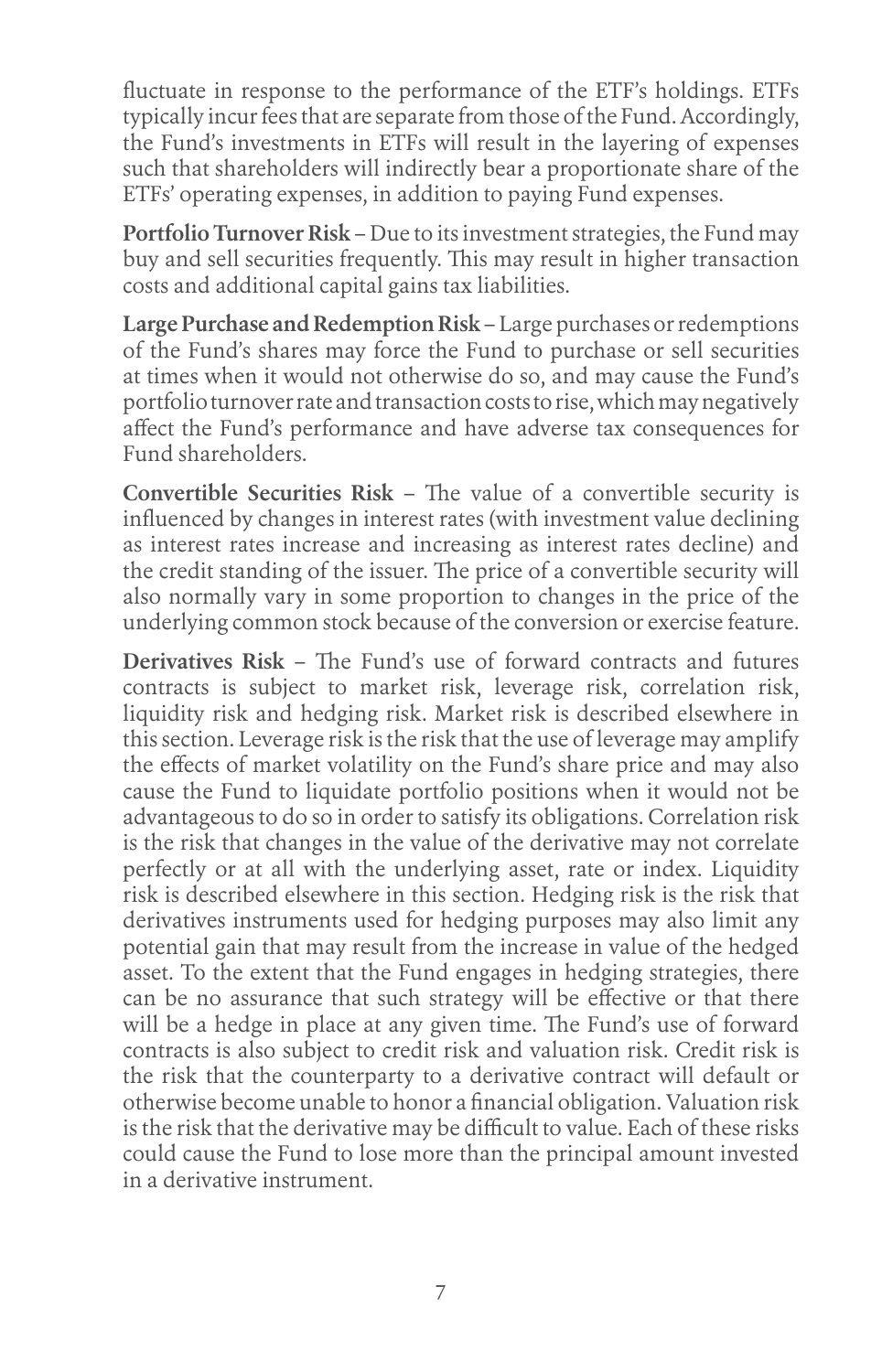fluctuate in response to the performance of the ETF's holdings. ETFs typically incur fees that are separate from those of the Fund. Accordingly, the Fund's investments in ETFs will result in the layering of expenses such that shareholders will indirectly bear a proportionate share of the ETFs' operating expenses, in addition to paying Fund expenses.

**Portfolio Turnover Risk** – Due to its investment strategies, the Fund may buy and sell securities frequently. This may result in higher transaction costs and additional capital gains tax liabilities.

**Large Purchase and Redemption Risk** – Large purchases or redemptions of the Fund's shares may force the Fund to purchase or sell securities at times when it would not otherwise do so, and may cause the Fund's portfolio turnover rate and transaction costs to rise, which may negatively affect the Fund's performance and have adverse tax consequences for Fund shareholders.

**Convertible Securities Risk** – The value of a convertible security is influenced by changes in interest rates (with investment value declining as interest rates increase and increasing as interest rates decline) and the credit standing of the issuer. The price of a convertible security will also normally vary in some proportion to changes in the price of the underlying common stock because of the conversion or exercise feature.

**Derivatives Risk** – The Fund's use of forward contracts and futures contracts is subject to market risk, leverage risk, correlation risk, liquidity risk and hedging risk. Market risk is described elsewhere in this section. Leverage risk is the risk that the use of leverage may amplify the effects of market volatility on the Fund's share price and may also cause the Fund to liquidate portfolio positions when it would not be advantageous to do so in order to satisfy its obligations. Correlation risk is the risk that changes in the value of the derivative may not correlate perfectly or at all with the underlying asset, rate or index. Liquidity risk is described elsewhere in this section. Hedging risk is the risk that derivatives instruments used for hedging purposes may also limit any potential gain that may result from the increase in value of the hedged asset. To the extent that the Fund engages in hedging strategies, there can be no assurance that such strategy will be effective or that there will be a hedge in place at any given time. The Fund's use of forward contracts is also subject to credit risk and valuation risk. Credit risk is the risk that the counterparty to a derivative contract will default or otherwise become unable to honor a financial obligation. Valuation risk is the risk that the derivative may be difficult to value. Each of these risks could cause the Fund to lose more than the principal amount invested in a derivative instrument.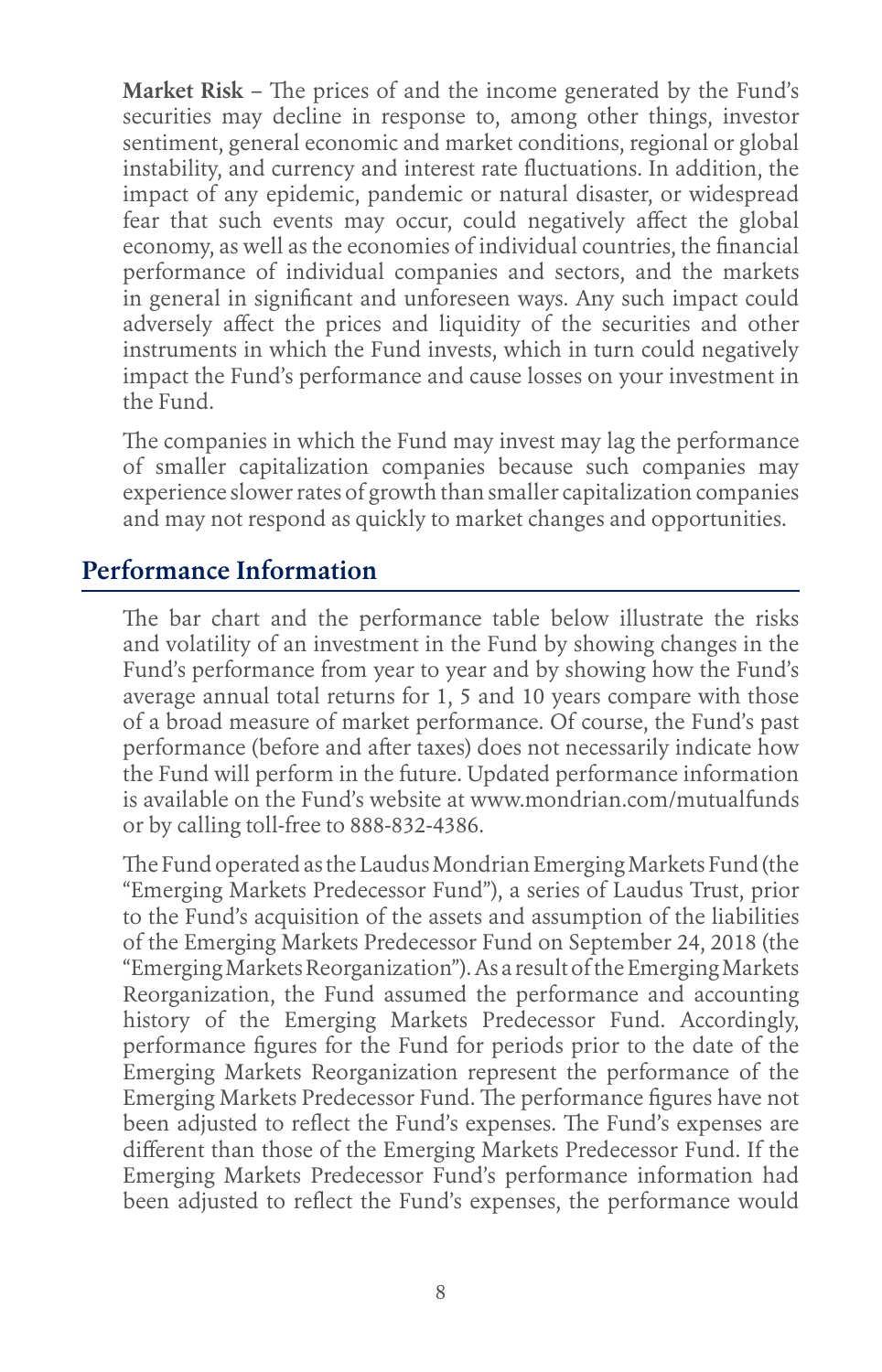**Market Risk** – The prices of and the income generated by the Fund's securities may decline in response to, among other things, investor sentiment, general economic and market conditions, regional or global instability, and currency and interest rate fluctuations. In addition, the impact of any epidemic, pandemic or natural disaster, or widespread fear that such events may occur, could negatively affect the global economy, as well as the economies of individual countries, the financial performance of individual companies and sectors, and the markets in general in significant and unforeseen ways. Any such impact could adversely affect the prices and liquidity of the securities and other instruments in which the Fund invests, which in turn could negatively impact the Fund's performance and cause losses on your investment in the Fund.

The companies in which the Fund may invest may lag the performance of smaller capitalization companies because such companies may experience slower rates of growth than smaller capitalization companies and may not respond as quickly to market changes and opportunities.

## **Performance Information**

The bar chart and the performance table below illustrate the risks and volatility of an investment in the Fund by showing changes in the Fund's performance from year to year and by showing how the Fund's average annual total returns for 1, 5 and 10 years compare with those of a broad measure of market performance. Of course, the Fund's past performance (before and after taxes) does not necessarily indicate how the Fund will perform in the future. Updated performance information is available on the Fund's website at www.mondrian.com/mutualfunds or by calling toll-free to 888-832-4386.

The Fund operated as the Laudus Mondrian Emerging Markets Fund (the "Emerging Markets Predecessor Fund"), a series of Laudus Trust, prior to the Fund's acquisition of the assets and assumption of the liabilities of the Emerging Markets Predecessor Fund on September 24, 2018 (the "Emerging Markets Reorganization"). As a result of the Emerging Markets Reorganization, the Fund assumed the performance and accounting history of the Emerging Markets Predecessor Fund. Accordingly, performance figures for the Fund for periods prior to the date of the Emerging Markets Reorganization represent the performance of the Emerging Markets Predecessor Fund. The performance figures have not been adjusted to reflect the Fund's expenses. The Fund's expenses are different than those of the Emerging Markets Predecessor Fund. If the Emerging Markets Predecessor Fund's performance information had been adjusted to reflect the Fund's expenses, the performance would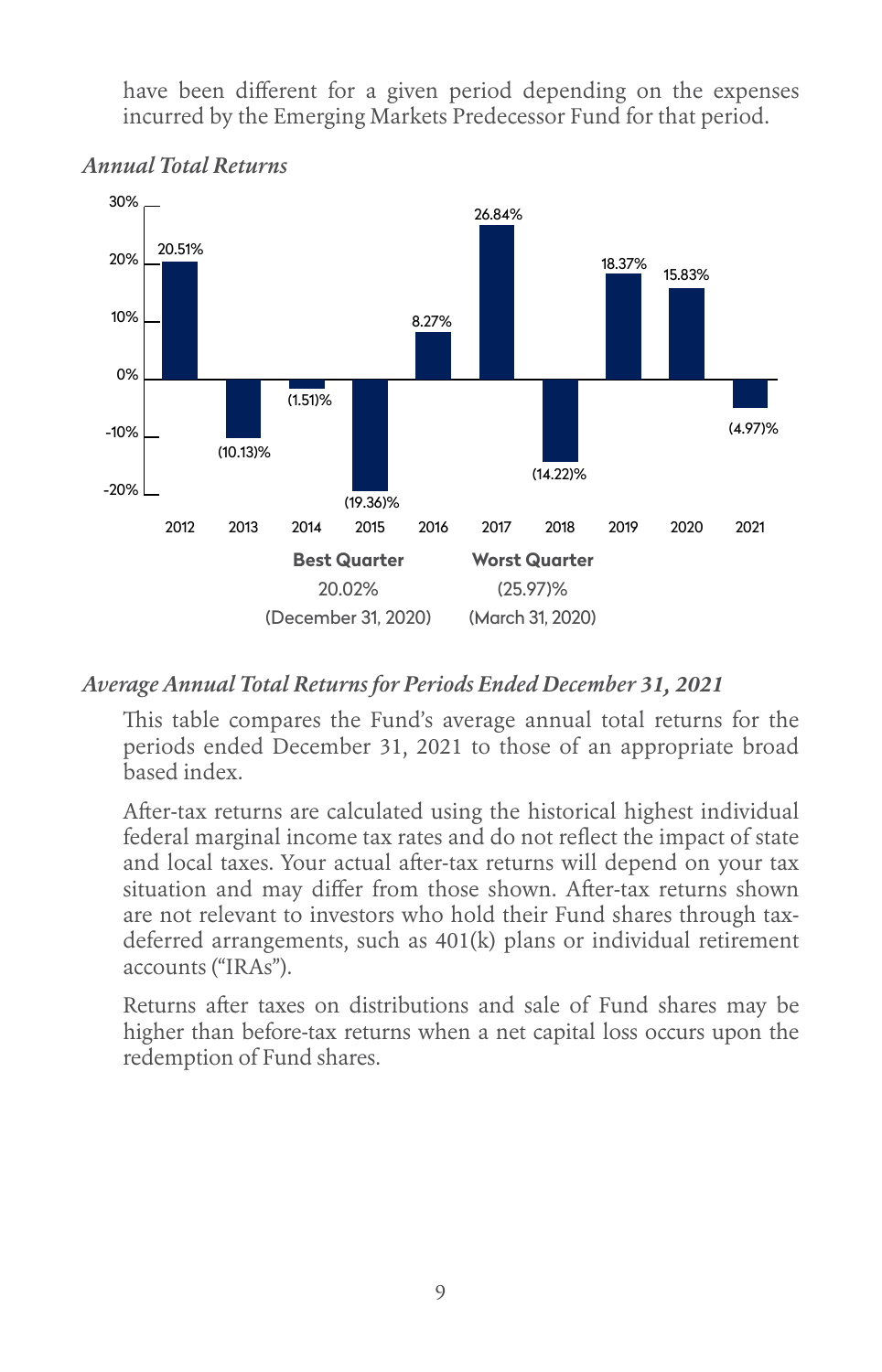have been different for a given period depending on the expenses incurred by the Emerging Markets Predecessor Fund for that period.



#### *Annual Total Returns*

#### *Average Annual Total Returns for Periods Ended December 31, 2021*

This table compares the Fund's average annual total returns for the periods ended December 31, 2021 to those of an appropriate broad based index.

After-tax returns are calculated using the historical highest individual federal marginal income tax rates and do not reflect the impact of state and local taxes. Your actual after-tax returns will depend on your tax situation and may differ from those shown. After-tax returns shown are not relevant to investors who hold their Fund shares through taxdeferred arrangements, such as 401(k) plans or individual retirement accounts ("IRAs").

Returns after taxes on distributions and sale of Fund shares may be higher than before-tax returns when a net capital loss occurs upon the redemption of Fund shares.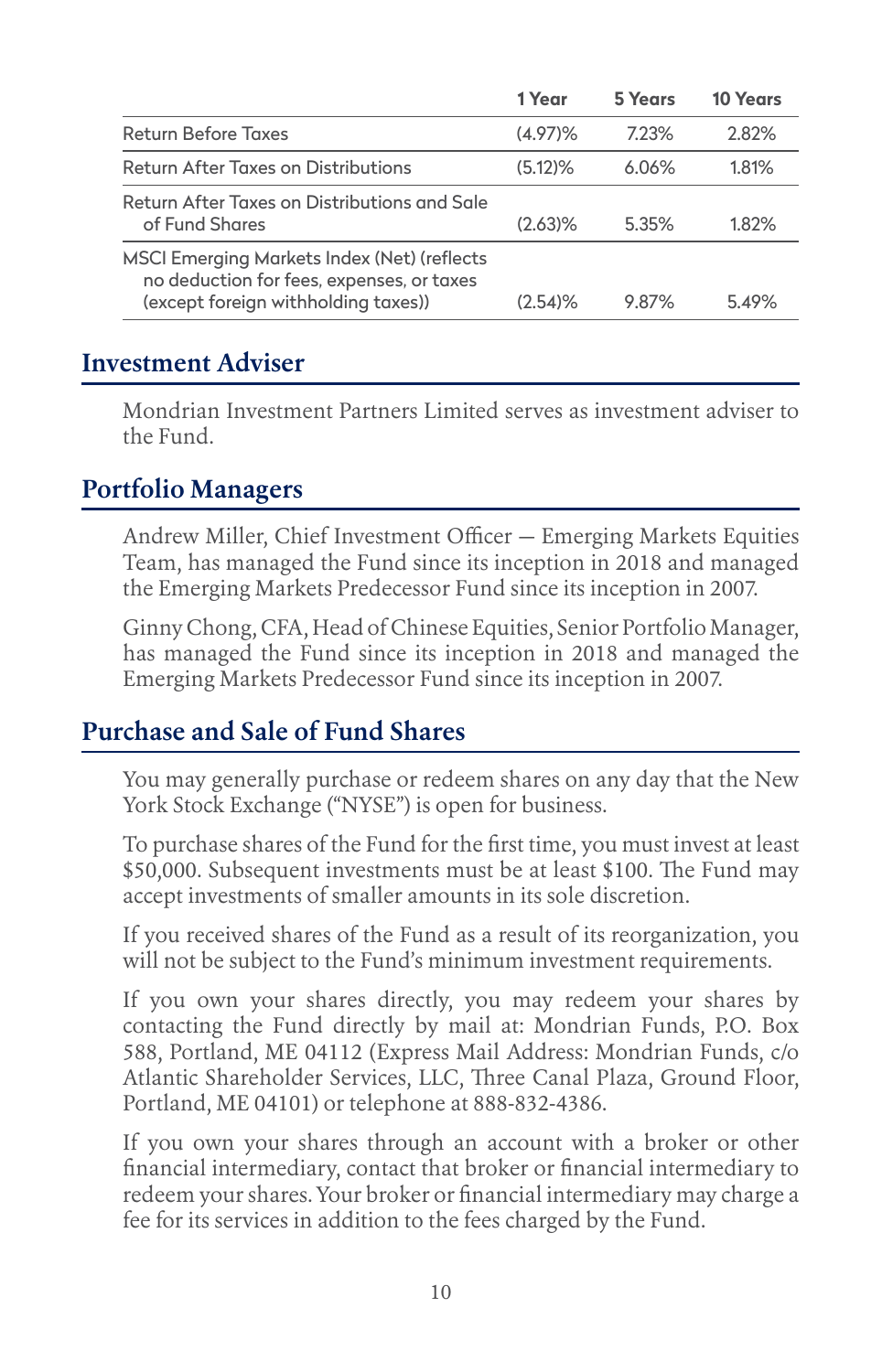|                                                                                                                                 | 1 Year     | 5 Years  | 10 Years |
|---------------------------------------------------------------------------------------------------------------------------------|------------|----------|----------|
| <b>Return Before Taxes</b>                                                                                                      | $(4.97)\%$ | 7.23%    | 2.82%    |
| Return After Taxes on Distributions                                                                                             | (5.12)%    | $6.06\%$ | 1.81%    |
| Return After Taxes on Distributions and Sale<br>of Fund Shares                                                                  | $(2.63)\%$ | 5.35%    | 1.82%    |
| MSCI Emerging Markets Index (Net) (reflects<br>no deduction for fees, expenses, or taxes<br>(except foreign withholding taxes)) | $(2.54)$ % | 9.87%    | 5.49%    |

### **Investment Adviser**

Mondrian Investment Partners Limited serves as investment adviser to the Fund.

### **Portfolio Managers**

Andrew Miller, Chief Investment Officer — Emerging Markets Equities Team, has managed the Fund since its inception in 2018 and managed the Emerging Markets Predecessor Fund since its inception in 2007.

Ginny Chong, CFA, Head of Chinese Equities, Senior Portfolio Manager, has managed the Fund since its inception in 2018 and managed the Emerging Markets Predecessor Fund since its inception in 2007.

#### **Purchase and Sale of Fund Shares**

You may generally purchase or redeem shares on any day that the New York Stock Exchange ("NYSE") is open for business.

To purchase shares of the Fund for the first time, you must invest at least \$50,000. Subsequent investments must be at least \$100. The Fund may accept investments of smaller amounts in its sole discretion.

If you received shares of the Fund as a result of its reorganization, you will not be subject to the Fund's minimum investment requirements.

If you own your shares directly, you may redeem your shares by contacting the Fund directly by mail at: Mondrian Funds, P.O. Box 588, Portland, ME 04112 (Express Mail Address: Mondrian Funds, c/o Atlantic Shareholder Services, LLC, Three Canal Plaza, Ground Floor, Portland, ME 04101) or telephone at 888-832-4386.

If you own your shares through an account with a broker or other financial intermediary, contact that broker or financial intermediary to redeem your shares. Your broker or financial intermediary may charge a fee for its services in addition to the fees charged by the Fund.